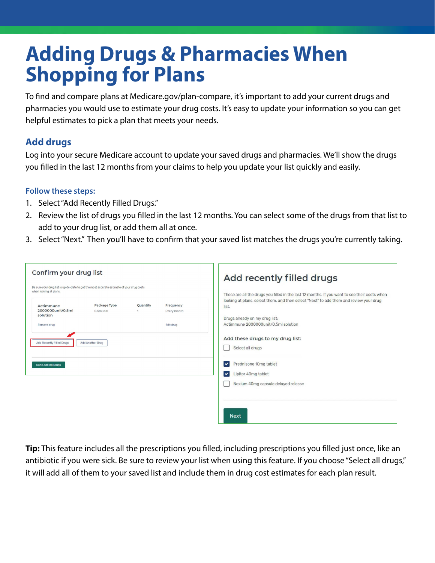# **Adding Drugs & Pharmacies When Shopping for Plans**

To fnd and compare plans at [Medicare.gov/plan-compare,](https://Medicare.gov/plan-compare) it's important to add your current drugs and pharmacies you would use to estimate your drug costs. It's easy to update your information so you can get helpful estimates to pick a plan that meets your needs.

# **Add drugs**

Log into your secure Medicare account to update your saved drugs and pharmacies. We'll show the drugs you flled in the last 12 months from your claims to help you update your list quickly and easily.

#### **Follow these steps:**

- 1. Select "Add Recently Filled Drugs."
- 2. Review the list of drugs you flled in the last 12 months. You can select some of the drugs from that list to add to your drug list, or add them all at once.
- 3. Select "Next." Then you'll have to confrm that your saved list matches the drugs you're currently taking.

| Confirm your drug list                                                                                                                                                    |  |                                                                                                                                | Add recently filled drugs                                                                                                                                                                        |  |
|---------------------------------------------------------------------------------------------------------------------------------------------------------------------------|--|--------------------------------------------------------------------------------------------------------------------------------|--------------------------------------------------------------------------------------------------------------------------------------------------------------------------------------------------|--|
| Be sure your drug list is up-to-date to get the most accurate estimate of your drug costs<br>when looking at plans.<br>Package Type<br>Quantity<br>Frequency<br>Actimmune |  |                                                                                                                                | These are all the drugs you filled in the last 12 months. If you want to see their costs when<br>looking at plans, select them, and then select "Next" to add them and review your drug<br>list. |  |
| 2000000unit/0.5ml<br>0.5ml vial<br>Every month<br>solution<br>Edit drug<br>Remove drug<br>Add Recently Filled Drugs<br>Add Another Drug                                   |  | Drugs already on my drug list:<br>Actimmune 2000000unit/0.5ml solution<br>Add these drugs to my drug list:<br>Select all drugs |                                                                                                                                                                                                  |  |
| <b>Done Adding Drugs</b>                                                                                                                                                  |  |                                                                                                                                | Prednisone 10mg tablet<br>✓<br>Lipitor 40mg tablet<br>✓<br>Nexium 40mg capsule delayed release                                                                                                   |  |
|                                                                                                                                                                           |  |                                                                                                                                | <b>Next</b>                                                                                                                                                                                      |  |

**Tip:** This feature includes all the prescriptions you flled, including prescriptions you flled just once, like an antibiotic if you were sick. Be sure to review your list when using this feature. If you choose "Select all drugs," it will add all of them to your saved list and include them in drug cost estimates for each plan result.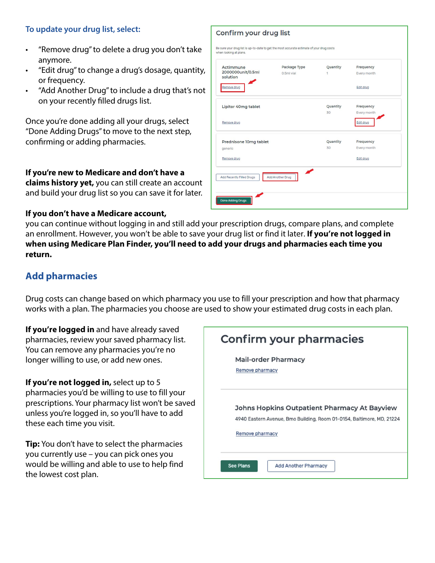## **To update your drug list, select:**

- "Remove drug" to delete a drug you don't take anymore.
- "Edit drug" to change a drug's dosage, quantity, or frequency.
- "Add Another Drug" to include a drug that's not on your recently flled drugs list.

Once you're done adding all your drugs, select "Done Adding Drugs" to move to the next step, confrming or adding pharmacies.

| Actimmune<br>2000000unit/0.5ml<br>solution | Package Type<br>0.5ml vial | Quantity<br>1 | Frequency<br>Every month |
|--------------------------------------------|----------------------------|---------------|--------------------------|
| Remove drug                                |                            |               | Edit drug                |
| Lipitor 40mg tablet                        |                            | Quantity      | Frequency                |
|                                            |                            | 30            | Every month              |
| Remove drug                                |                            |               | Edit drug                |
| Prednisone 10mg tablet                     |                            | Quantity      | Frequency                |
| generic                                    |                            | 30            | Every month              |
| Remove drug                                |                            |               | Edit drug                |
| Add Recently Filled Drugs                  | Add Another Drug           |               |                          |

Confirm your drug list

**If you're new to Medicare and don't have a claims history yet,** you can still create an account and build your drug list so you can save it for later.

#### **If you don't have a Medicare account,**

you can continue without logging in and still add your prescription drugs, compare plans, and complete an enrollment. However, you won't be able to save your drug list or find it later. **If you're not logged in when using Medicare Plan Finder, you'll need to add your drugs and pharmacies each time you return.** 

# **Add pharmacies**

Drug costs can change based on which pharmacy you use to fill your prescription and how that pharmacy works with a plan. The pharmacies you choose are used to show your estimated drug costs in each plan.

**If you're logged in** and have already saved pharmacies, review your saved pharmacy list. You can remove any pharmacies you're no longer willing to use, or add new ones.

**If you're not logged in,** select up to 5 pharmacies you'd be willing to use to fill your prescriptions. Your pharmacy list won't be saved unless you're logged in, so you'll have to add these each time you visit.

**Tip:** You don't have to select the pharmacies you currently use – you can pick ones you would be willing and able to use to help find the lowest cost plan.

| Confirm your pharmacies                                                                                                                  |  |  |  |
|------------------------------------------------------------------------------------------------------------------------------------------|--|--|--|
| <b>Mail-order Pharmacy</b><br>Remove pharmacy                                                                                            |  |  |  |
| Johns Hopkins Outpatient Pharmacy At Bayview<br>4940 Eastern Avenue, Bmo Building, Room 01-0154, Baltimore, MD, 21224<br>Remove pharmacy |  |  |  |
| <b>See Plans</b><br><b>Add Another Pharmacy</b>                                                                                          |  |  |  |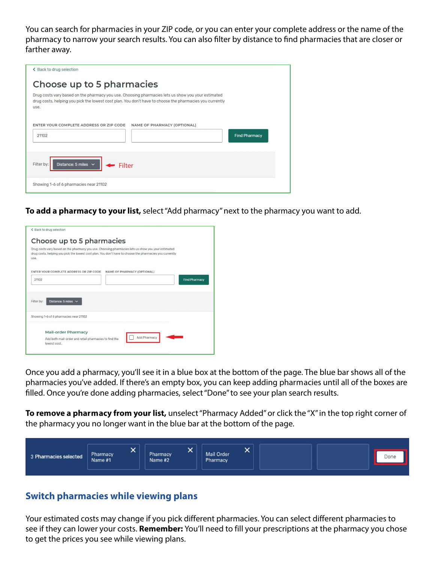You can search for pharmacies in your ZIP code, or you can enter your complete address or the name of the pharmacy to narrow your search results. You can also flter by distance to fnd pharmacies that are closer or farther away.

| ← Back to drug selection                                                                                                                                                                                               |  |
|------------------------------------------------------------------------------------------------------------------------------------------------------------------------------------------------------------------------|--|
| Choose up to 5 pharmacies                                                                                                                                                                                              |  |
| Drug costs vary based on the pharmacy you use. Choosing pharmacies lets us show you your estimated<br>drug costs, helping you pick the lowest cost plan. You don't have to choose the pharmacies you currently<br>use. |  |
| ENTER YOUR COMPLETE ADDRESS OR ZIP CODE<br><b>NAME OF PHARMACY (OPTIONAL)</b><br>21102<br><b>Find Pharmacy</b>                                                                                                         |  |
| Distance: 5 miles $\sim$<br>Filter by:<br>Filter                                                                                                                                                                       |  |
| Showing 1-6 of 6 pharmacies near 21102                                                                                                                                                                                 |  |

**To add a pharmacy to your list,** select "Add pharmacy" next to the pharmacy you want to add.



Once you add a pharmacy, you'll see it in a blue box at the bottom of the page. The blue bar shows all of the pharmacies you've added. If there's an empty box, you can keep adding pharmacies until all of the boxes are flled. Once you're done adding pharmacies, select "Done" to see your plan search results.

**To remove a pharmacy from your list,** unselect "Pharmacy Added" or click the "X" in the top right corner of the pharmacy you no longer want in the blue bar at the bottom of the page.



## **Switch pharmacies while viewing plans**

Your estimated costs may change if you pick different pharmacies. You can select different pharmacies to see if they can lower your costs. **Remember:** You'll need to fill your prescriptions at the pharmacy you chose to get the prices you see while viewing plans.